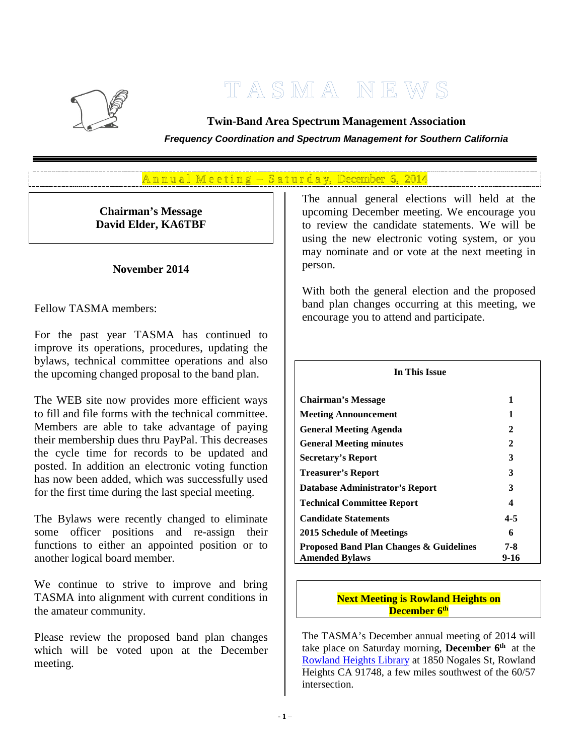

# **T A S M A N E W S**

**Twin-Band Area Spectrum Management Association**

*Frequency Coordination and Spectrum Management for Southern California*

# $A$ n n u al Meeting – Saturday, December 6, 2014

**Chairman's Message David Elder, KA6TBF**

#### **November 2014**

Fellow TASMA members:

For the past year TASMA has continued to improve its operations, procedures, updating the bylaws, technical committee operations and also the upcoming changed proposal to the band plan.

The WEB site now provides more efficient ways to fill and file forms with the technical committee. Members are able to take advantage of paying their membership dues thru PayPal. This decreases the cycle time for records to be updated and posted. In addition an electronic voting function has now been added, which was successfully used for the first time during the last special meeting.

The Bylaws were recently changed to eliminate some officer positions and re-assign their functions to either an appointed position or to another logical board member.

We continue to strive to improve and bring TASMA into alignment with current conditions in the amateur community.

Please review the proposed band plan changes which will be voted upon at the December meeting.

The annual general elections will held at the upcoming December meeting. We encourage you to review the candidate statements. We will be using the new electronic voting system, or you may nominate and or vote at the next meeting in person.

With both the general election and the proposed band plan changes occurring at this meeting, we encourage you to attend and participate.

| In This Issue                                      |         |  |  |  |
|----------------------------------------------------|---------|--|--|--|
| <b>Chairman's Message</b>                          | 1       |  |  |  |
| <b>Meeting Announcement</b>                        | 1       |  |  |  |
| <b>General Meeting Agenda</b>                      | 2       |  |  |  |
| <b>General Meeting minutes</b>                     | 2       |  |  |  |
| <b>Secretary's Report</b>                          | 3       |  |  |  |
| <b>Treasurer's Report</b>                          | 3       |  |  |  |
| Database Administrator's Report                    | 3       |  |  |  |
| <b>Technical Committee Report</b>                  | 4       |  |  |  |
| <b>Candidate Statements</b>                        | $4 - 5$ |  |  |  |
| 2015 Schedule of Meetings                          | 6       |  |  |  |
| <b>Proposed Band Plan Changes &amp; Guidelines</b> | 7-8     |  |  |  |
| <b>Amended Bylaws</b>                              | 9-16    |  |  |  |

#### **Next Meeting is Rowland Heights on December 6th**

The TASMA's December annual meeting of 2014 will take place on Saturday morning, **December 6th** at the [Rowland Heights Library](https://www.google.com/maps/place/Rowland+Heights+Library/@33.984456,-117.888607,15z/data=!3m1!4b1!4m2!3m1!1s0x0:0x5aab168e03087323) at 1850 Nogales St, Rowland Heights CA 91748, a few miles southwest of the 60/57 intersection.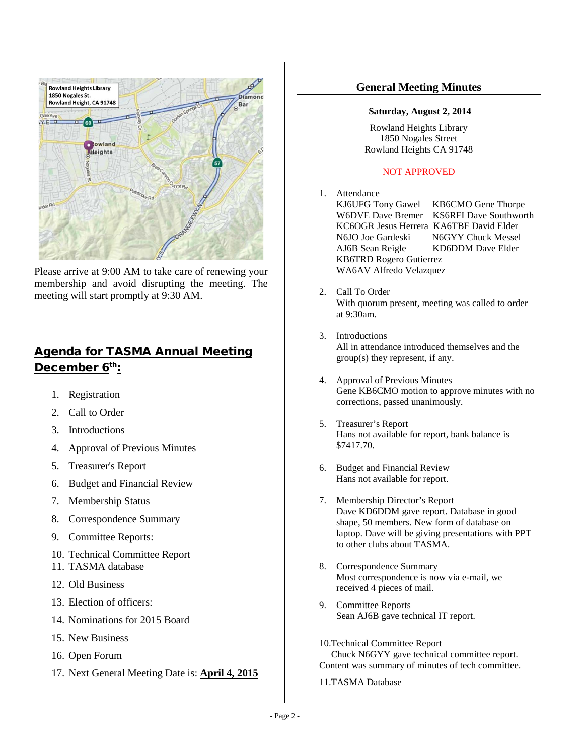

Please arrive at 9:00 AM to take care of renewing your membership and avoid disrupting the meeting. The meeting will start promptly at 9:30 AM.

# Agenda for TASMA Annual Meeting December 6th:

- 1. Registration
- 2. Call to Order
- 3. Introductions
- 4. Approval of Previous Minutes
- 5. Treasurer's Report
- 6. Budget and Financial Review
- 7. Membership Status
- 8. Correspondence Summary
- 9. Committee Reports:
- 10. Technical Committee Report
- 11. TASMA database
- 12. Old Business
- 13. Election of officers:
- 14. Nominations for 2015 Board
- 15. New Business
- 16. Open Forum
- 17. Next General Meeting Date is: **April 4, 2015**

#### **General Meeting Minutes**

#### **Saturday, August 2, 2014**

Rowland Heights Library 1850 Nogales Street Rowland Heights CA 91748

#### NOT APPROVED

- 1. Attendance<br>KJ6UFG Tony Gawel KJ6UFG Tony Gawel KB6CMO Gene Thorpe<br>W6DVE Dave Bremer KS6RFI Dave Southwor KS6RFI Dave Southworth KC6OGR Jesus Herrera KA6TBF David Elder<br>N6JO Joe Gardeski N6GYY Chuck Messe N6GYY Chuck Messel AJ6B Sean Reigle KD6DDM Dave Elder KB6TRD Rogero Gutierrez WA6AV Alfredo Velazquez
- 2. Call To Order With quorum present, meeting was called to order at 9:30am.
- 3. Introductions All in attendance introduced themselves and the group(s) they represent, if any.
- 4. Approval of Previous Minutes Gene KB6CMO motion to approve minutes with no corrections, passed unanimously.
- 5. Treasurer's Report Hans not available for report, bank balance is \$7417.70.
- 6. Budget and Financial Review Hans not available for report.
- 7. Membership Director's Report Dave KD6DDM gave report. Database in good shape, 50 members. New form of database on laptop. Dave will be giving presentations with PPT to other clubs about TASMA.
- 8. Correspondence Summary Most correspondence is now via e-mail, we received 4 pieces of mail.
- 9. Committee Reports Sean AJ6B gave technical IT report.
- 10.Technical Committee Report Chuck N6GYY gave technical committee report. Content was summary of minutes of tech committee.
- 11.TASMA Database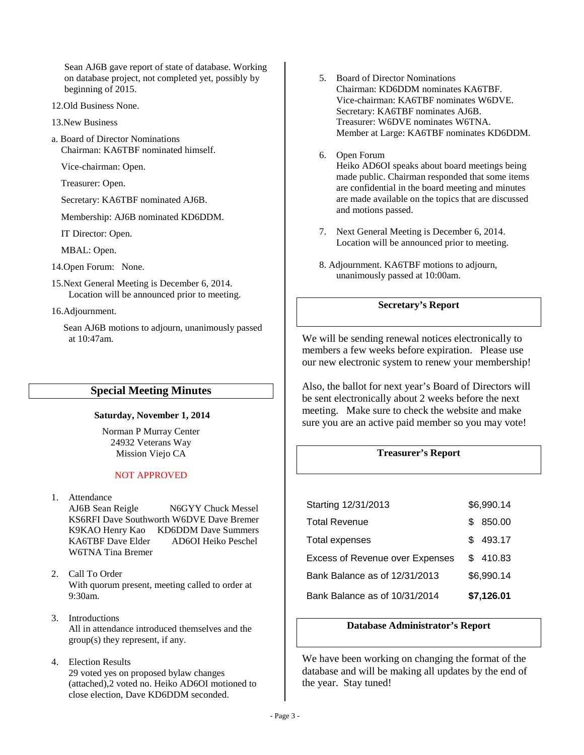Sean AJ6B gave report of state of database. Working on database project, not completed yet, possibly by beginning of 2015.

- 12.Old Business None.
- 13.New Business
- a. Board of Director Nominations Chairman: KA6TBF nominated himself.

Vice-chairman: Open.

Treasurer: Open.

Secretary: KA6TBF nominated AJ6B.

Membership: AJ6B nominated KD6DDM.

IT Director: Open.

MBAL: Open.

14.Open Forum: None.

15.Next General Meeting is December 6, 2014. Location will be announced prior to meeting.

16.Adjournment.

 Sean AJ6B motions to adjourn, unanimously passed at 10:47am.

#### **Special Meeting Minutes**

#### **Saturday, November 1, 2014**

Norman P Murray Center 24932 Veterans Way Mission Viejo CA

#### NOT APPROVED

1. Attendance

AJ6B Sean Reigle N6GYY Chuck Messel KS6RFI Dave Southworth W6DVE Dave Bremer K9KAO Henry Kao KD6DDM Dave Summers KA6TBF Dave Elder AD6OI Heiko Peschel W6TNA Tina Bremer

- 2. Call To Order With quorum present, meeting called to order at 9:30am.
- 3. Introductions All in attendance introduced themselves and the group(s) they represent, if any.
- 4. Election Results 29 voted yes on proposed bylaw changes (attached),2 voted no. Heiko AD6OI motioned to close election, Dave KD6DDM seconded.
- 5. Board of Director Nominations Chairman: KD6DDM nominates KA6TBF. Vice-chairman: KA6TBF nominates W6DVE. Secretary: KA6TBF nominates AJ6B. Treasurer: W6DVE nominates W6TNA. Member at Large: KA6TBF nominates KD6DDM.
- 6. Open Forum Heiko AD6OI speaks about board meetings being made public. Chairman responded that some items are confidential in the board meeting and minutes are made available on the topics that are discussed and motions passed.
- 7. Next General Meeting is December 6, 2014. Location will be announced prior to meeting.
- 8. Adjournment. KA6TBF motions to adjourn, unanimously passed at 10:00am.

#### **Secretary's Report**

We will be sending renewal notices electronically to members a few weeks before expiration. Please use our new electronic system to renew your membership!

Also, the ballot for next year's Board of Directors will be sent electronically about 2 weeks before the next meeting. Make sure to check the website and make sure you are an active paid member so you may vote!

#### **Treasurer's Report**

|                                      | 493.17<br>\$.<br>Total expenses |                                                                         |                        |
|--------------------------------------|---------------------------------|-------------------------------------------------------------------------|------------------------|
|                                      |                                 | <b>Excess of Revenue over Expenses</b><br>Bank Balance as of 12/31/2013 | \$410.83<br>\$6,990.14 |
|                                      |                                 |                                                                         |                        |
|                                      |                                 |                                                                         |                        |
| 850.00<br><b>Total Revenue</b><br>S. |                                 | Starting 12/31/2013                                                     | \$6,990.14             |

#### **Database Administrator's Report**

We have been working on changing the format of the database and will be making all updates by the end of the year. Stay tuned!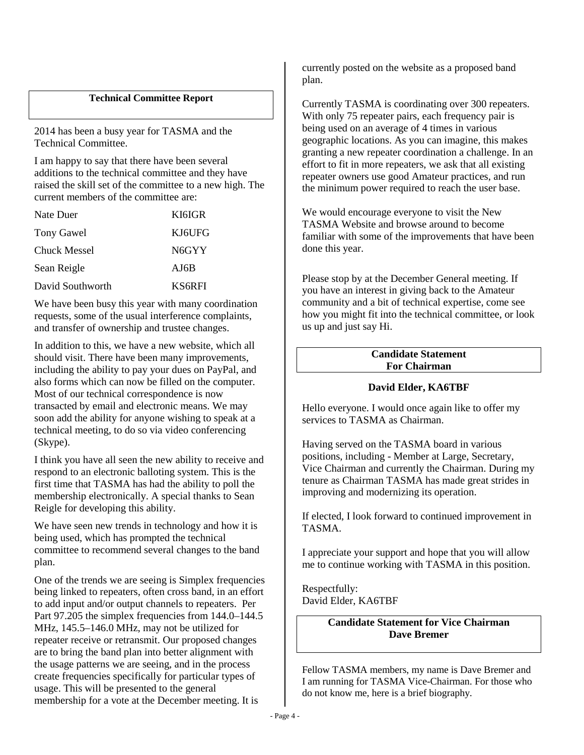#### **Technical Committee Report**

2014 has been a busy year for TASMA and the Technical Committee.

I am happy to say that there have been several additions to the technical committee and they have raised the skill set of the committee to a new high. The current members of the committee are:

| Nate Duer           | KI6IGR        |
|---------------------|---------------|
| <b>Tony Gawel</b>   | KJ6UFG        |
| <b>Chuck Messel</b> | N6GYY         |
| Sean Reigle         | AJ6B          |
| David Southworth    | <b>KS6RFI</b> |

We have been busy this year with many coordination requests, some of the usual interference complaints, and transfer of ownership and trustee changes.

In addition to this, we have a new website, which all should visit. There have been many improvements, including the ability to pay your dues on PayPal, and also forms which can now be filled on the computer. Most of our technical correspondence is now transacted by email and electronic means. We may soon add the ability for anyone wishing to speak at a technical meeting, to do so via video conferencing (Skype).

I think you have all seen the new ability to receive and respond to an electronic balloting system. This is the first time that TASMA has had the ability to poll the membership electronically. A special thanks to Sean Reigle for developing this ability.

We have seen new trends in technology and how it is being used, which has prompted the technical committee to recommend several changes to the band plan.

One of the trends we are seeing is Simplex frequencies being linked to repeaters, often cross band, in an effort to add input and/or output channels to repeaters. Per Part 97.205 the simplex frequencies from 144.0–144.5 MHz, 145.5–146.0 MHz, may not be utilized for repeater receive or retransmit. Our proposed changes are to bring the band plan into better alignment with the usage patterns we are seeing, and in the process create frequencies specifically for particular types of usage. This will be presented to the general membership for a vote at the December meeting. It is

currently posted on the website as a proposed band plan.

Currently TASMA is coordinating over 300 repeaters. With only 75 repeater pairs, each frequency pair is being used on an average of 4 times in various geographic locations. As you can imagine, this makes granting a new repeater coordination a challenge. In an effort to fit in more repeaters, we ask that all existing repeater owners use good Amateur practices, and run the minimum power required to reach the user base.

We would encourage everyone to visit the New TASMA Website and browse around to become familiar with some of the improvements that have been done this year.

Please stop by at the December General meeting. If you have an interest in giving back to the Amateur community and a bit of technical expertise, come see how you might fit into the technical committee, or look us up and just say Hi.

#### **Candidate Statement For Chairman**

#### **David Elder, KA6TBF**

Hello everyone. I would once again like to offer my services to TASMA as Chairman.

Having served on the TASMA board in various positions, including - Member at Large, Secretary, Vice Chairman and currently the Chairman. During my tenure as Chairman TASMA has made great strides in improving and modernizing its operation.

If elected, I look forward to continued improvement in TASMA.

I appreciate your support and hope that you will allow me to continue working with TASMA in this position.

Respectfully: David Elder, KA6TBF

> **Candidate Statement for Vice Chairman Dave Bremer**

Fellow TASMA members, my name is Dave Bremer and I am running for TASMA Vice-Chairman. For those who do not know me, here is a brief biography.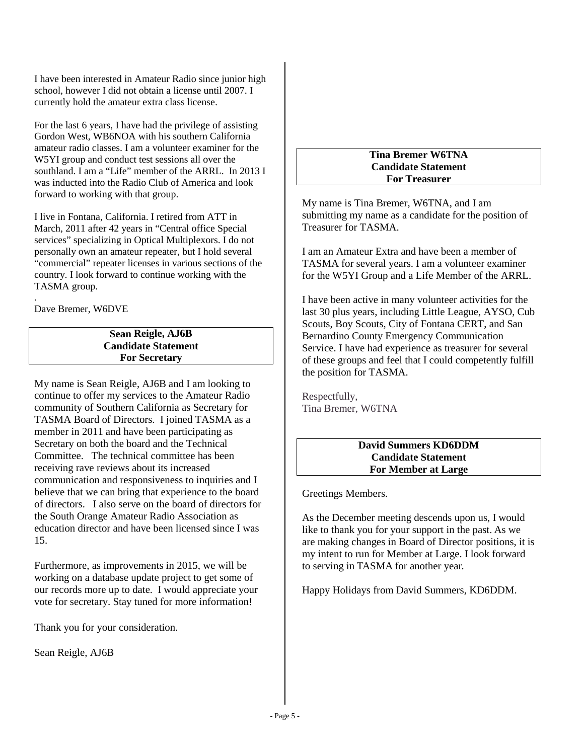I have been interested in Amateur Radio since junior high school, however I did not obtain a license until 2007. I currently hold the amateur extra class license.

For the last 6 years, I have had the privilege of assisting Gordon West, WB6NOA with his southern California amateur radio classes. I am a volunteer examiner for the W5YI group and conduct test sessions all over the southland. I am a "Life" member of the ARRL. In 2013 I was inducted into the Radio Club of America and look forward to working with that group.

I live in Fontana, California. I retired from ATT in March, 2011 after 42 years in "Central office Special services" specializing in Optical Multiplexors. I do not personally own an amateur repeater, but I hold several "commercial" repeater licenses in various sections of the country. I look forward to continue working with the TASMA group.

. Dave Bremer, W6DVE

#### **Sean Reigle, AJ6B Candidate Statement For Secretary**

My name is Sean Reigle, AJ6B and I am looking to continue to offer my services to the Amateur Radio community of Southern California as Secretary for TASMA Board of Directors. I joined TASMA as a member in 2011 and have been participating as Secretary on both the board and the Technical Committee. The technical committee has been receiving rave reviews about its increased communication and responsiveness to inquiries and I believe that we can bring that experience to the board of directors. I also serve on the board of directors for the South Orange Amateur Radio Association as education director and have been licensed since I was 15.

Furthermore, as improvements in 2015, we will be working on a database update project to get some of our records more up to date. I would appreciate your vote for secretary. Stay tuned for more information!

Thank you for your consideration.

Sean Reigle, AJ6B

#### **Tina Bremer W6TNA Candidate Statement For Treasurer**

My name is Tina Bremer, W6TNA, and I am submitting my name as a candidate for the position of Treasurer for TASMA.

I am an Amateur Extra and have been a member of TASMA for several years. I am a volunteer examiner for the W5YI Group and a Life Member of the ARRL.

I have been active in many volunteer activities for the last 30 plus years, including Little League, AYSO, Cub Scouts, Boy Scouts, City of Fontana CERT, and San Bernardino County Emergency Communication Service. I have had experience as treasurer for several of these groups and feel that I could competently fulfill the position for TASMA.

Respectfully, Tina Bremer, W6TNA

#### **David Summers KD6DDM Candidate Statement For Member at Large**

Greetings Members.

As the December meeting descends upon us, I would like to thank you for your support in the past. As we are making changes in Board of Director positions, it is my intent to run for Member at Large. I look forward to serving in TASMA for another year.

Happy Holidays from David Summers, KD6DDM.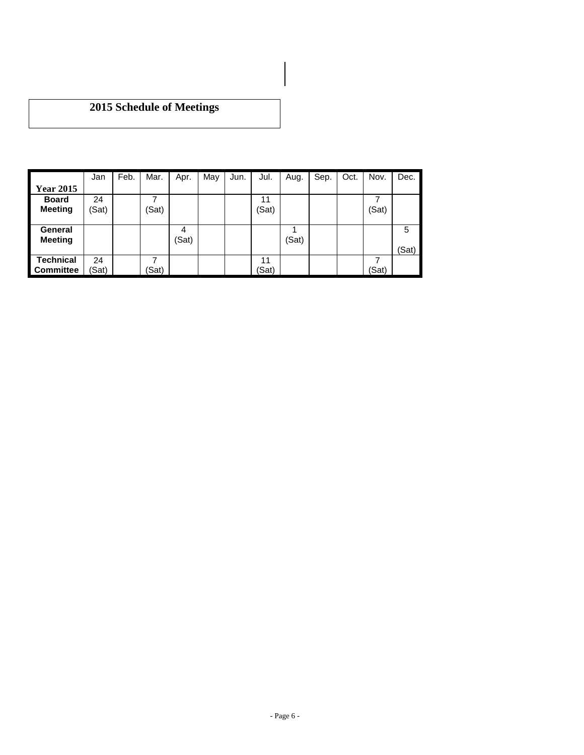# **2015 Schedule of Meetings**

|                  | Jan   | Feb. | Mar.  | Apr.  | May | Jun. | Jul.  | Aug.  | Sep. | Oct. | Nov.  | Dec.  |
|------------------|-------|------|-------|-------|-----|------|-------|-------|------|------|-------|-------|
| ear 2015<br>I Y  |       |      |       |       |     |      |       |       |      |      |       |       |
| <b>Board</b>     | 24    |      |       |       |     |      | 11    |       |      |      |       |       |
| <b>Meeting</b>   | (Sat) |      | (Sat) |       |     |      | (Sat) |       |      |      | (Sat) |       |
|                  |       |      |       |       |     |      |       |       |      |      |       |       |
| П<br>General     |       |      |       | 4     |     |      |       |       |      |      |       | 5     |
| <b>Meeting</b>   |       |      |       | (Sat) |     |      |       | (Sat) |      |      |       |       |
|                  |       |      |       |       |     |      |       |       |      |      |       | (Sat) |
| <b>Technical</b> | 24    |      |       |       |     |      | 11    |       |      |      |       |       |
| <b>Committee</b> | (Sat) |      | (Sat) |       |     |      | (Sat) |       |      |      | (Sat) |       |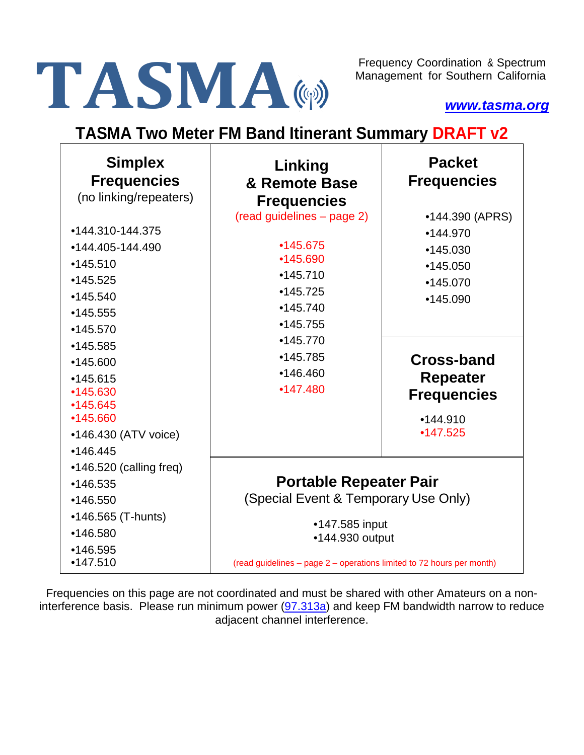# Frequency Coordination & Spectrum<br>Management for Southern California<br>WWW.tasma.org

Management for Southern California

*[www.tasma.org](http://www.tasma.org/)*

# **TASMA Two Meter FM Band Itinerant Summary DRAFT v2**

| <b>Simplex</b><br><b>Frequencies</b><br>(no linking/repeaters) | Linking<br>& Remote Base<br><b>Frequencies</b>                        | <b>Packet</b><br><b>Frequencies</b> |
|----------------------------------------------------------------|-----------------------------------------------------------------------|-------------------------------------|
|                                                                | (read guidelines - page 2)                                            | •144.390 (APRS)                     |
| •144.310-144.375                                               |                                                                       | •144.970                            |
| •144.405-144.490                                               | •145.675                                                              | •145.030                            |
| •145.510                                                       | •145.690                                                              | •145.050                            |
| •145.525                                                       | •145.710                                                              | •145.070                            |
| •145.540                                                       | •145.725                                                              | •145.090                            |
| •145.555                                                       | •145.740                                                              |                                     |
| •145.570                                                       | •145.755                                                              |                                     |
| •145.585                                                       | •145.770                                                              |                                     |
| •145.600                                                       | •145.785                                                              | Cross-band                          |
| •145.615                                                       | •146.460                                                              | Repeater                            |
| •145.630                                                       | •147.480                                                              | <b>Frequencies</b>                  |
| •145.645                                                       |                                                                       |                                     |
| •145.660                                                       |                                                                       | •144.910                            |
| •146.430 (ATV voice)                                           |                                                                       | •147.525                            |
| •146.445                                                       |                                                                       |                                     |
| $•146.520$ (calling freq)                                      |                                                                       |                                     |
| •146.535                                                       | <b>Portable Repeater Pair</b>                                         |                                     |
| •146.550                                                       | (Special Event & Temporary Use Only)                                  |                                     |
| •146.565 (T-hunts)                                             | •147.585 input                                                        |                                     |
| •146.580                                                       | •144.930 output                                                       |                                     |
| •146.595<br>•147.510                                           | (read guidelines - page 2 - operations limited to 72 hours per month) |                                     |

Frequencies on this page are not coordinated and must be shared with other Amateurs on a noninterference basis. Please run minimum power  $(97.313a)$  and keep FM bandwidth narrow to reduce adjacent channel interference.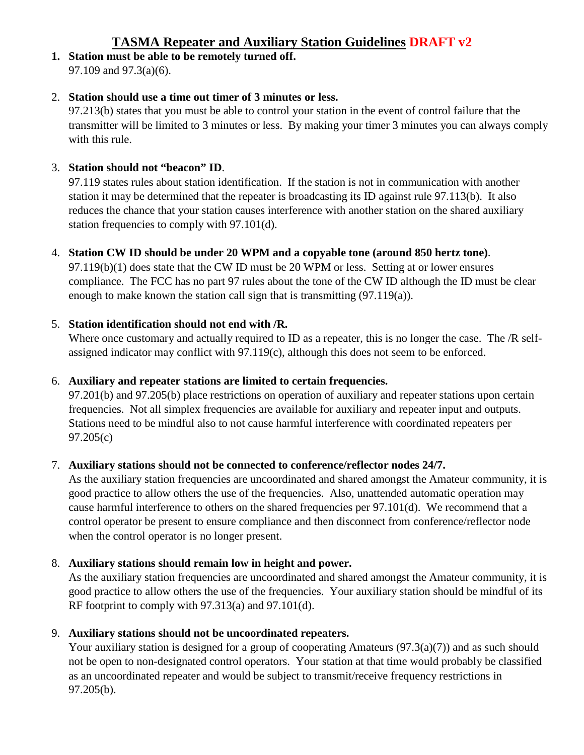# **TASMA Repeater and Auxiliary Station Guidelines DRAFT v2**

**1. Station must be able to be remotely turned off.** 97.109 and 97.3(a)(6).

#### 2. **Station should use a time out timer of 3 minutes or less.**

97.213(b) states that you must be able to control your station in the event of control failure that the transmitter will be limited to 3 minutes or less. By making your timer 3 minutes you can always comply with this rule.

#### 3. **Station should not "beacon" ID**.

97.119 states rules about station identification. If the station is not in communication with another station it may be determined that the repeater is broadcasting its ID against rule 97.113(b). It also reduces the chance that your station causes interference with another station on the shared auxiliary station frequencies to comply with 97.101(d).

#### 4. **Station CW ID should be under 20 WPM and a copyable tone (around 850 hertz tone)**.

97.119(b)(1) does state that the CW ID must be 20 WPM or less. Setting at or lower ensures compliance. The FCC has no part 97 rules about the tone of the CW ID although the ID must be clear enough to make known the station call sign that is transmitting (97.119(a)).

#### 5. **Station identification should not end with /R.**

Where once customary and actually required to ID as a repeater, this is no longer the case. The /R selfassigned indicator may conflict with 97.119(c), although this does not seem to be enforced.

#### 6. **Auxiliary and repeater stations are limited to certain frequencies.**

97.201(b) and 97.205(b) place restrictions on operation of auxiliary and repeater stations upon certain frequencies. Not all simplex frequencies are available for auxiliary and repeater input and outputs. Stations need to be mindful also to not cause harmful interference with coordinated repeaters per 97.205(c)

#### 7. **Auxiliary stations should not be connected to conference/reflector nodes 24/7.**

As the auxiliary station frequencies are uncoordinated and shared amongst the Amateur community, it is good practice to allow others the use of the frequencies. Also, unattended automatic operation may cause harmful interference to others on the shared frequencies per 97.101(d). We recommend that a control operator be present to ensure compliance and then disconnect from conference/reflector node when the control operator is no longer present.

#### 8. **Auxiliary stations should remain low in height and power.**

As the auxiliary station frequencies are uncoordinated and shared amongst the Amateur community, it is good practice to allow others the use of the frequencies. Your auxiliary station should be mindful of its RF footprint to comply with 97.313(a) and 97.101(d).

#### 9. **Auxiliary stations should not be uncoordinated repeaters.**

Your auxiliary station is designed for a group of cooperating Amateurs (97.3(a)(7)) and as such should not be open to non-designated control operators. Your station at that time would probably be classified as an uncoordinated repeater and would be subject to transmit/receive frequency restrictions in 97.205(b).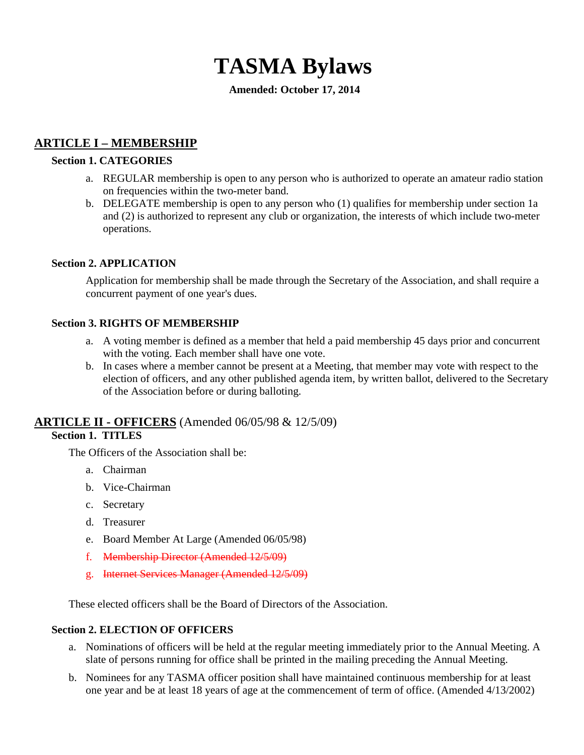# **TASMA Bylaws**

#### **Amended: October 17, 2014**

# **ARTICLE I – MEMBERSHIP**

#### **Section 1. CATEGORIES**

- a. REGULAR membership is open to any person who is authorized to operate an amateur radio station on frequencies within the two-meter band.
- b. DELEGATE membership is open to any person who (1) qualifies for membership under section 1a and (2) is authorized to represent any club or organization, the interests of which include two-meter operations.

#### **Section 2. APPLICATION**

Application for membership shall be made through the Secretary of the Association, and shall require a concurrent payment of one year's dues.

#### **Section 3. RIGHTS OF MEMBERSHIP**

- a. A voting member is defined as a member that held a paid membership 45 days prior and concurrent with the voting. Each member shall have one vote.
- b. In cases where a member cannot be present at a Meeting, that member may vote with respect to the election of officers, and any other published agenda item, by written ballot, delivered to the Secretary of the Association before or during balloting.

#### **ARTICLE II - OFFICERS** (Amended 06/05/98 & 12/5/09)

#### **Section 1. TITLES**

The Officers of the Association shall be:

- a. Chairman
- b. Vice-Chairman
- c. Secretary
- d. Treasurer
- e. Board Member At Large (Amended 06/05/98)
- f. Membership Director (Amended 12/5/09)
- g. Internet Services Manager (Amended 12/5/09)

These elected officers shall be the Board of Directors of the Association.

#### **Section 2. ELECTION OF OFFICERS**

- a. Nominations of officers will be held at the regular meeting immediately prior to the Annual Meeting. A slate of persons running for office shall be printed in the mailing preceding the Annual Meeting.
- b. Nominees for any TASMA officer position shall have maintained continuous membership for at least one year and be at least 18 years of age at the commencement of term of office. (Amended 4/13/2002)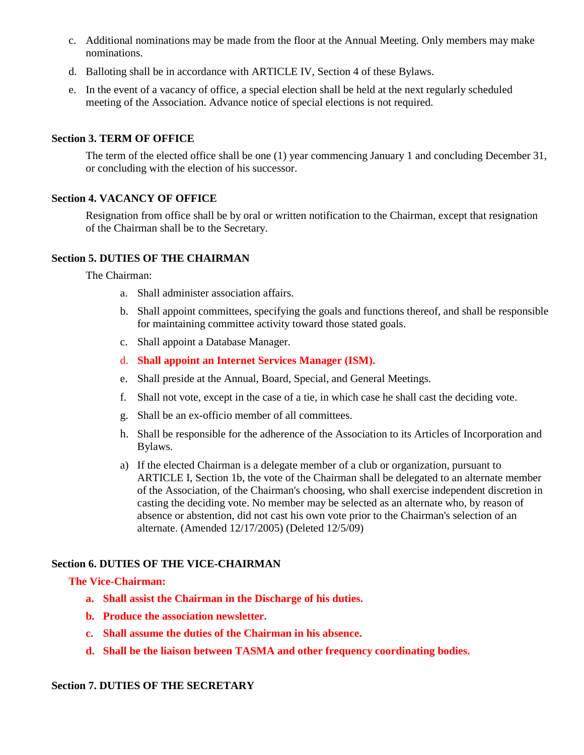- c. Additional nominations may be made from the floor at the Annual Meeting. Only members may make nominations.
- d. Balloting shall be in accordance with ARTICLE IV, Section 4 of these Bylaws.
- e. In the event of a vacancy of office, a special election shall be held at the next regularly scheduled meeting of the Association. Advance notice of special elections is not required.

#### **Section 3. TERM OF OFFICE**

The term of the elected office shall be one (1) year commencing January 1 and concluding December 31, or concluding with the election of his successor.

#### **Section 4. VACANCY OF OFFICE**

Resignation from office shall be by oral or written notification to the Chairman, except that resignation of the Chairman shall be to the Secretary.

#### **Section 5. DUTIES OF THE CHAIRMAN**

The Chairman:

- a. Shall administer association affairs.
- b. Shall appoint committees, specifying the goals and functions thereof, and shall be responsible for maintaining committee activity toward those stated goals.
- c. Shall appoint a Database Manager.
- d. **Shall appoint an Internet Services Manager (ISM).**
- e. Shall preside at the Annual, Board, Special, and General Meetings.
- f. Shall not vote, except in the case of a tie, in which case he shall cast the deciding vote.
- g. Shall be an ex-officio member of all committees.
- h. Shall be responsible for the adherence of the Association to its Articles of Incorporation and Bylaws.
- a) If the elected Chairman is a delegate member of a club or organization, pursuant to ARTICLE I, Section 1b, the vote of the Chairman shall be delegated to an alternate member of the Association, of the Chairman's choosing, who shall exercise independent discretion in casting the deciding vote. No member may be selected as an alternate who, by reason of absence or abstention, did not cast his own vote prior to the Chairman's selection of an alternate. (Amended 12/17/2005) (Deleted 12/5/09)

#### **Section 6. DUTIES OF THE VICE-CHAIRMAN**

#### **The Vice-Chairman:**

- **a. Shall assist the Chairman in the Discharge of his duties.**
- **b. Produce the association newsletter.**
- **c. Shall assume the duties of the Chairman in his absence.**
- **d. Shall be the liaison between TASMA and other frequency coordinating bodies.**

#### **Section 7. DUTIES OF THE SECRETARY**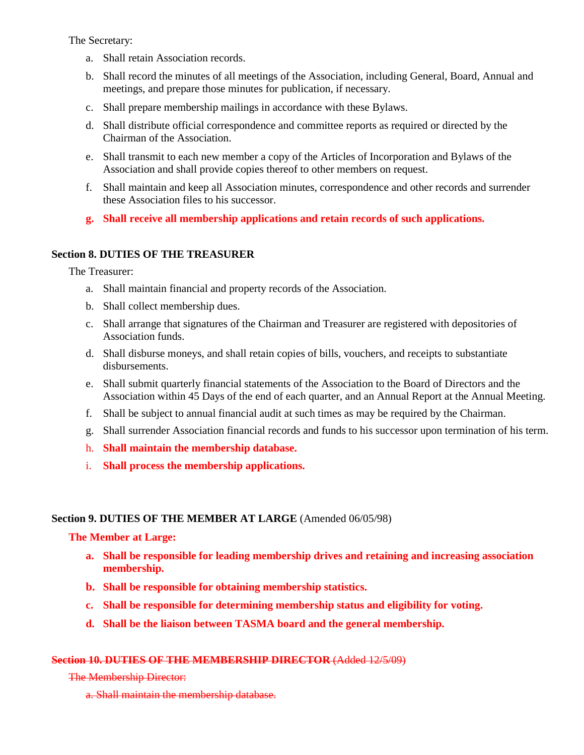The Secretary:

- a. Shall retain Association records.
- b. Shall record the minutes of all meetings of the Association, including General, Board, Annual and meetings, and prepare those minutes for publication, if necessary.
- c. Shall prepare membership mailings in accordance with these Bylaws.
- d. Shall distribute official correspondence and committee reports as required or directed by the Chairman of the Association.
- e. Shall transmit to each new member a copy of the Articles of Incorporation and Bylaws of the Association and shall provide copies thereof to other members on request.
- f. Shall maintain and keep all Association minutes, correspondence and other records and surrender these Association files to his successor.
- **g. Shall receive all membership applications and retain records of such applications.**

#### **Section 8. DUTIES OF THE TREASURER**

The Treasurer:

- a. Shall maintain financial and property records of the Association.
- b. Shall collect membership dues.
- c. Shall arrange that signatures of the Chairman and Treasurer are registered with depositories of Association funds.
- d. Shall disburse moneys, and shall retain copies of bills, vouchers, and receipts to substantiate disbursements.
- e. Shall submit quarterly financial statements of the Association to the Board of Directors and the Association within 45 Days of the end of each quarter, and an Annual Report at the Annual Meeting.
- f. Shall be subject to annual financial audit at such times as may be required by the Chairman.
- g. Shall surrender Association financial records and funds to his successor upon termination of his term.
- h. **Shall maintain the membership database.**
- i. **Shall process the membership applications.**

#### **Section 9. DUTIES OF THE MEMBER AT LARGE** (Amended 06/05/98)

#### **The Member at Large:**

- **a. Shall be responsible for leading membership drives and retaining and increasing association membership.**
- **b. Shall be responsible for obtaining membership statistics.**
- **c. Shall be responsible for determining membership status and eligibility for voting.**
- **d. Shall be the liaison between TASMA board and the general membership.**

#### **Section 10. DUTIES OF THE MEMBERSHIP DIRECTOR** (Added 12/5/09)

The Membership Director:

a. Shall maintain the membership database.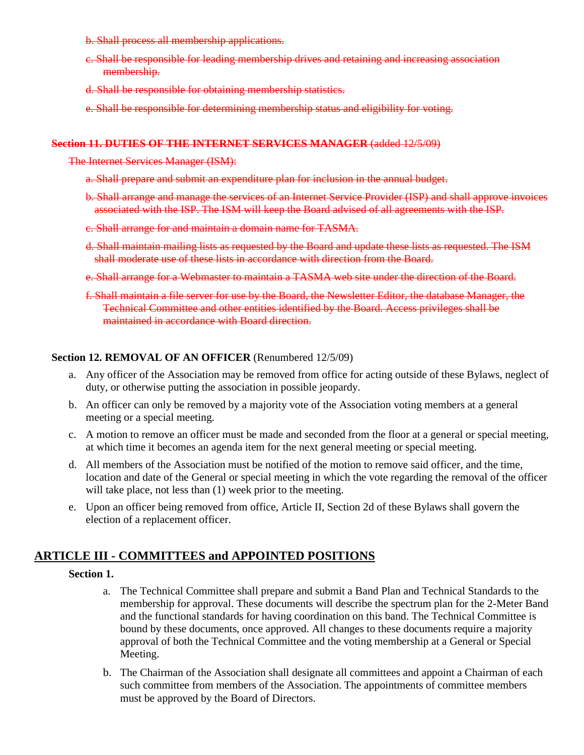b. Shall process all membership applications.

- c. Shall be responsible for leading membership drives and retaining and increasing association membership.
- d. Shall be responsible for obtaining membership statistics.
- e. Shall be responsible for determining membership status and eligibility for voting.

#### **Section 11. DUTIES OF THE INTERNET SERVICES MANAGER** (added 12/5/09)

The Internet Services Manager (ISM):

- a. Shall prepare and submit an expenditure plan for inclusion in the annual budget.
- b. Shall arrange and manage the services of an Internet Service Provider (ISP) and shall approve invoices associated with the ISP. The ISM will keep the Board advised of all agreements with the ISP.
- c. Shall arrange for and maintain a domain name for TASMA.
- d. Shall maintain mailing lists as requested by the Board and update these lists as requested. The ISM shall moderate use of these lists in accordance with direction from the Board.
- e. Shall arrange for a Webmaster to maintain a TASMA web site under the direction of the Board.
- f. Shall maintain a file server for use by the Board, the Newsletter Editor, the database Manager, the Technical Committee and other entities identified by the Board. Access privileges shall be maintained in accordance with Board direction.

#### **Section 12. REMOVAL OF AN OFFICER** (Renumbered 12/5/09)

- a. Any officer of the Association may be removed from office for acting outside of these Bylaws, neglect of duty, or otherwise putting the association in possible jeopardy.
- b. An officer can only be removed by a majority vote of the Association voting members at a general meeting or a special meeting.
- c. A motion to remove an officer must be made and seconded from the floor at a general or special meeting, at which time it becomes an agenda item for the next general meeting or special meeting.
- d. All members of the Association must be notified of the motion to remove said officer, and the time, location and date of the General or special meeting in which the vote regarding the removal of the officer will take place, not less than  $(1)$  week prior to the meeting.
- e. Upon an officer being removed from office, Article II, Section 2d of these Bylaws shall govern the election of a replacement officer.

## **ARTICLE III - COMMITTEES and APPOINTED POSITIONS**

#### **Section 1.**

- a. The Technical Committee shall prepare and submit a Band Plan and Technical Standards to the membership for approval. These documents will describe the spectrum plan for the 2-Meter Band and the functional standards for having coordination on this band. The Technical Committee is bound by these documents, once approved. All changes to these documents require a majority approval of both the Technical Committee and the voting membership at a General or Special Meeting.
- b. The Chairman of the Association shall designate all committees and appoint a Chairman of each such committee from members of the Association. The appointments of committee members must be approved by the Board of Directors.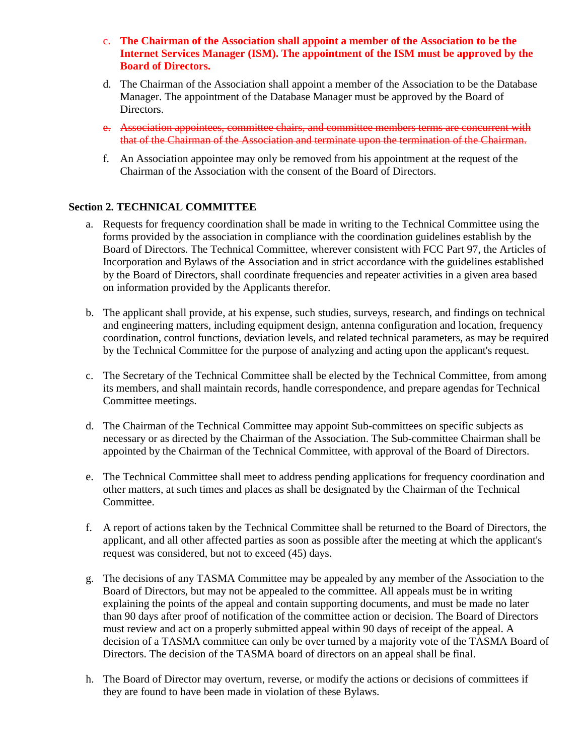- c. **The Chairman of the Association shall appoint a member of the Association to be the Internet Services Manager (ISM). The appointment of the ISM must be approved by the Board of Directors.**
- d. The Chairman of the Association shall appoint a member of the Association to be the Database Manager. The appointment of the Database Manager must be approved by the Board of Directors.
- e. Association appointees, committee chairs, and committee members terms are concurrent with that of the Chairman of the Association and terminate upon the termination of the Chairman.
- f. An Association appointee may only be removed from his appointment at the request of the Chairman of the Association with the consent of the Board of Directors.

#### **Section 2. TECHNICAL COMMITTEE**

- a. Requests for frequency coordination shall be made in writing to the Technical Committee using the forms provided by the association in compliance with the coordination guidelines establish by the Board of Directors. The Technical Committee, wherever consistent with FCC Part 97, the Articles of Incorporation and Bylaws of the Association and in strict accordance with the guidelines established by the Board of Directors, shall coordinate frequencies and repeater activities in a given area based on information provided by the Applicants therefor.
- b. The applicant shall provide, at his expense, such studies, surveys, research, and findings on technical and engineering matters, including equipment design, antenna configuration and location, frequency coordination, control functions, deviation levels, and related technical parameters, as may be required by the Technical Committee for the purpose of analyzing and acting upon the applicant's request.
- c. The Secretary of the Technical Committee shall be elected by the Technical Committee, from among its members, and shall maintain records, handle correspondence, and prepare agendas for Technical Committee meetings.
- d. The Chairman of the Technical Committee may appoint Sub-committees on specific subjects as necessary or as directed by the Chairman of the Association. The Sub-committee Chairman shall be appointed by the Chairman of the Technical Committee, with approval of the Board of Directors.
- e. The Technical Committee shall meet to address pending applications for frequency coordination and other matters, at such times and places as shall be designated by the Chairman of the Technical Committee.
- f. A report of actions taken by the Technical Committee shall be returned to the Board of Directors, the applicant, and all other affected parties as soon as possible after the meeting at which the applicant's request was considered, but not to exceed (45) days.
- g. The decisions of any TASMA Committee may be appealed by any member of the Association to the Board of Directors, but may not be appealed to the committee. All appeals must be in writing explaining the points of the appeal and contain supporting documents, and must be made no later than 90 days after proof of notification of the committee action or decision. The Board of Directors must review and act on a properly submitted appeal within 90 days of receipt of the appeal. A decision of a TASMA committee can only be over turned by a majority vote of the TASMA Board of Directors. The decision of the TASMA board of directors on an appeal shall be final.
- h. The Board of Director may overturn, reverse, or modify the actions or decisions of committees if they are found to have been made in violation of these Bylaws.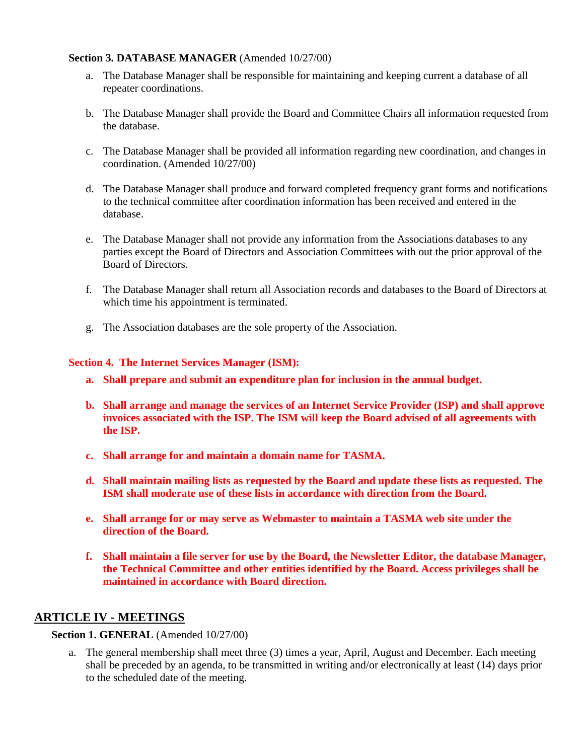#### **Section 3. DATABASE MANAGER** (Amended 10/27/00)

- a. The Database Manager shall be responsible for maintaining and keeping current a database of all repeater coordinations.
- b. The Database Manager shall provide the Board and Committee Chairs all information requested from the database.
- c. The Database Manager shall be provided all information regarding new coordination, and changes in coordination. (Amended 10/27/00)
- d. The Database Manager shall produce and forward completed frequency grant forms and notifications to the technical committee after coordination information has been received and entered in the database.
- e. The Database Manager shall not provide any information from the Associations databases to any parties except the Board of Directors and Association Committees with out the prior approval of the Board of Directors.
- f. The Database Manager shall return all Association records and databases to the Board of Directors at which time his appointment is terminated.
- g. The Association databases are the sole property of the Association.

#### **Section 4. The Internet Services Manager (ISM):**

- **a. Shall prepare and submit an expenditure plan for inclusion in the annual budget.**
- **b. Shall arrange and manage the services of an Internet Service Provider (ISP) and shall approve invoices associated with the ISP. The ISM will keep the Board advised of all agreements with the ISP.**
- **c. Shall arrange for and maintain a domain name for TASMA.**
- **d. Shall maintain mailing lists as requested by the Board and update these lists as requested. The ISM shall moderate use of these lists in accordance with direction from the Board.**
- **e. Shall arrange for or may serve as Webmaster to maintain a TASMA web site under the direction of the Board.**
- **f. Shall maintain a file server for use by the Board, the Newsletter Editor, the database Manager, the Technical Committee and other entities identified by the Board. Access privileges shall be maintained in accordance with Board direction.**

#### **ARTICLE IV - MEETINGS**

**Section 1. GENERAL** (Amended 10/27/00)

a. The general membership shall meet three (3) times a year, April, August and December. Each meeting shall be preceded by an agenda, to be transmitted in writing and/or electronically at least (14) days prior to the scheduled date of the meeting.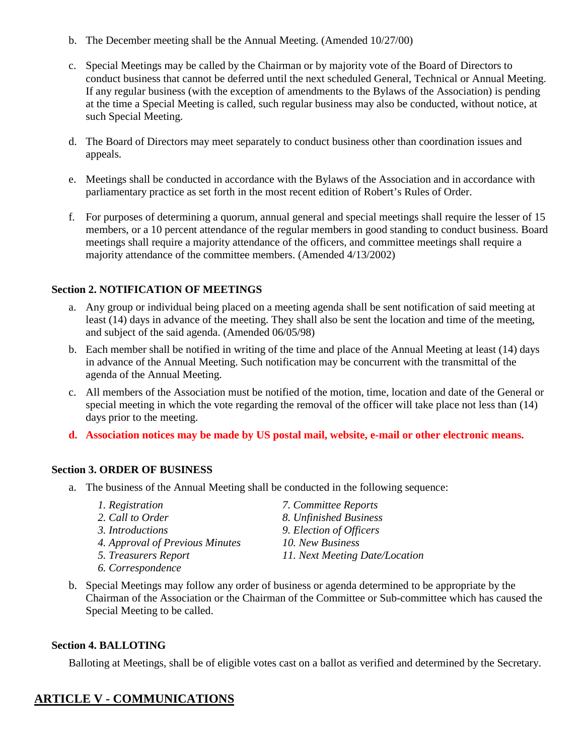- b. The December meeting shall be the Annual Meeting. (Amended 10/27/00)
- c. Special Meetings may be called by the Chairman or by majority vote of the Board of Directors to conduct business that cannot be deferred until the next scheduled General, Technical or Annual Meeting. If any regular business (with the exception of amendments to the Bylaws of the Association) is pending at the time a Special Meeting is called, such regular business may also be conducted, without notice, at such Special Meeting.
- d. The Board of Directors may meet separately to conduct business other than coordination issues and appeals.
- e. Meetings shall be conducted in accordance with the Bylaws of the Association and in accordance with parliamentary practice as set forth in the most recent edition of Robert's Rules of Order.
- f. For purposes of determining a quorum, annual general and special meetings shall require the lesser of 15 members, or a 10 percent attendance of the regular members in good standing to conduct business. Board meetings shall require a majority attendance of the officers, and committee meetings shall require a majority attendance of the committee members. (Amended 4/13/2002)

#### **Section 2. NOTIFICATION OF MEETINGS**

- a. Any group or individual being placed on a meeting agenda shall be sent notification of said meeting at least (14) days in advance of the meeting. They shall also be sent the location and time of the meeting, and subject of the said agenda. (Amended 06/05/98)
- b. Each member shall be notified in writing of the time and place of the Annual Meeting at least (14) days in advance of the Annual Meeting. Such notification may be concurrent with the transmittal of the agenda of the Annual Meeting.
- c. All members of the Association must be notified of the motion, time, location and date of the General or special meeting in which the vote regarding the removal of the officer will take place not less than (14) days prior to the meeting.
- **d. Association notices may be made by US postal mail, website, e-mail or other electronic means.**

#### **Section 3. ORDER OF BUSINESS**

a. The business of the Annual Meeting shall be conducted in the following sequence:

| 1. Registration                 | 7. Committee Reports           |
|---------------------------------|--------------------------------|
| 2. Call to Order                | 8. Unfinished Business         |
| 3. Introductions                | 9. Election of Officers        |
| 4. Approval of Previous Minutes | 10. New Business               |
| 5. Treasurers Report            | 11. Next Meeting Date/Location |
| 6. Correspondence               |                                |

b. Special Meetings may follow any order of business or agenda determined to be appropriate by the Chairman of the Association or the Chairman of the Committee or Sub-committee which has caused the Special Meeting to be called.

#### **Section 4. BALLOTING**

Balloting at Meetings, shall be of eligible votes cast on a ballot as verified and determined by the Secretary.

## **ARTICLE V - COMMUNICATIONS**